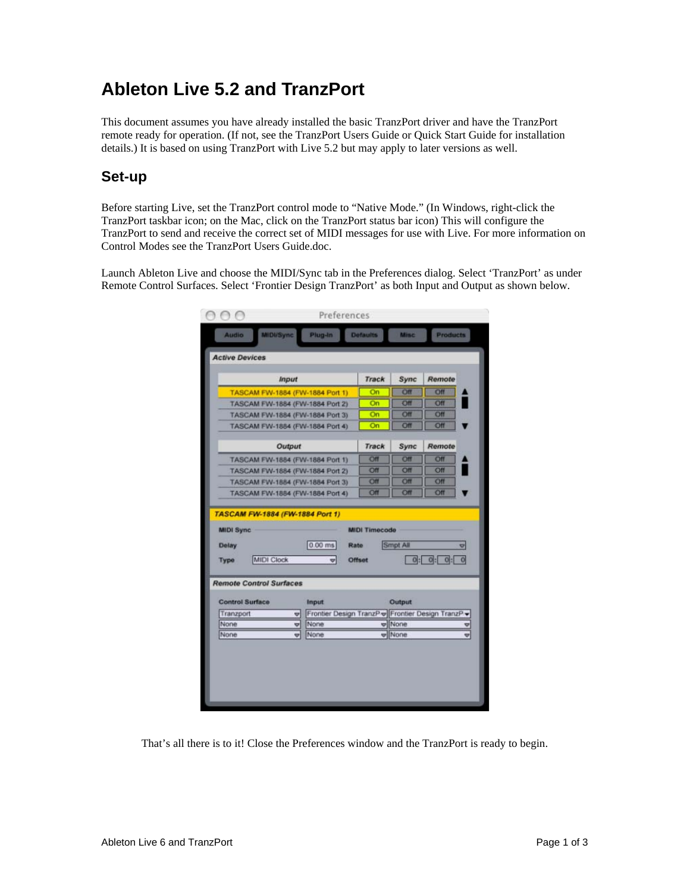# **Ableton Live 5.2 and TranzPort**

This document assumes you have already installed the basic TranzPort driver and have the TranzPort remote ready for operation. (If not, see the TranzPort Users Guide or Quick Start Guide for installation details.) It is based on using TranzPort with Live 5.2 but may apply to later versions as well.

#### **Set-up**

Before starting Live, set the TranzPort control mode to "Native Mode." (In Windows, right-click the TranzPort taskbar icon; on the Mac, click on the TranzPort status bar icon) This will configure the TranzPort to send and receive the correct set of MIDI messages for use with Live. For more information on Control Modes see the TranzPort Users Guide.doc.

Launch Ableton Live and choose the MIDI/Sync tab in the Preferences dialog. Select 'TranzPort' as under Remote Control Surfaces. Select 'Frontier Design TranzPort' as both Input and Output as shown below.

|                                                     | <b>Input</b>                                           | Track                | Sync         | Remote                       |
|-----------------------------------------------------|--------------------------------------------------------|----------------------|--------------|------------------------------|
| TASCAM FW-1884 (FW-1884 Port 1)                     | On                                                     | Off                  | Off          |                              |
| TASCAM FW-1884 (FW-1884 Port 2)                     | On                                                     | Off                  | Off          |                              |
| TASCAM FW-1884 (FW-1884 Port 3)                     |                                                        | On                   | Off          | Off                          |
| TASCAM FW-1884 (FW-1884 Port 4)                     |                                                        | On                   | Off          | Off                          |
| Output                                              | Track                                                  | Sync                 | Remote       |                              |
| TASCAM FW-1884 (FW-1884 Port 1)                     |                                                        | Off                  | Off          | Off                          |
| TASCAM FW-1884 (FW-1884 Port 2)                     |                                                        | Off                  | Off          | Off                          |
| TASCAM FW-1884 (FW-1884 Port 3)                     |                                                        | Off                  | Off          | <b>Off</b>                   |
| TASCAM FW-1884 (FW-1884 Port 4)                     |                                                        | Off                  | Off          | Off                          |
| TASCAM FW-1884 (FW-1884 Port 1)<br><b>MIDI Sync</b> |                                                        | <b>MIDI Timecode</b> |              |                              |
| <b>Delay</b>                                        | $0.00$ ms                                              | Rato                 | Smpt All     | v                            |
| <b>MIDI Clock</b><br>Type                           | v                                                      | Offset               |              | 0: 0:<br>$ 0 $ :<br>$\Omega$ |
| <b>Remote Control Surfaces</b>                      |                                                        |                      |              |                              |
| <b>Control Surface</b>                              | <b>Input</b>                                           |                      | Output       |                              |
| Tranzport                                           | Frontier Design TranzP = Frontier Design TranzP =<br>٠ |                      |              |                              |
| None<br>None                                        | None<br>v<br>None<br>U                                 |                      | Wone<br>Wone |                              |

That's all there is to it! Close the Preferences window and the TranzPort is ready to begin.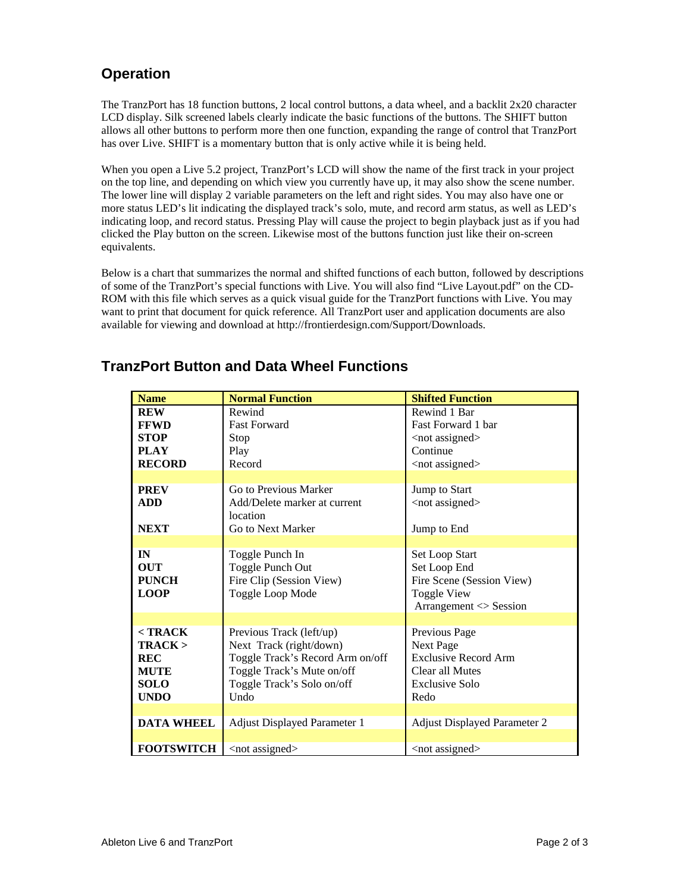## **Operation**

The TranzPort has 18 function buttons, 2 local control buttons, a data wheel, and a backlit 2x20 character LCD display. Silk screened labels clearly indicate the basic functions of the buttons. The SHIFT button allows all other buttons to perform more then one function, expanding the range of control that TranzPort has over Live. SHIFT is a momentary button that is only active while it is being held.

When you open a Live 5.2 project, TranzPort's LCD will show the name of the first track in your project on the top line, and depending on which view you currently have up, it may also show the scene number. The lower line will display 2 variable parameters on the left and right sides. You may also have one or more status LED's lit indicating the displayed track's solo, mute, and record arm status, as well as LED's indicating loop, and record status. Pressing Play will cause the project to begin playback just as if you had clicked the Play button on the screen. Likewise most of the buttons function just like their on-screen equivalents.

Below is a chart that summarizes the normal and shifted functions of each button, followed by descriptions of some of the TranzPort's special functions with Live. You will also find "Live Layout.pdf" on the CD-ROM with this file which serves as a quick visual guide for the TranzPort functions with Live. You may want to print that document for quick reference. All TranzPort user and application documents are also available for viewing and download at http://frontierdesign.com/Support/Downloads.

| <b>Name</b>       | <b>Normal Function</b>                   | <b>Shifted Function</b>                |
|-------------------|------------------------------------------|----------------------------------------|
| <b>REW</b>        | Rewind                                   | Rewind 1 Bar                           |
| <b>FFWD</b>       | <b>Fast Forward</b>                      | Fast Forward 1 bar                     |
| <b>STOP</b>       | Stop                                     | <not assigned=""></not>                |
| <b>PLAY</b>       | Play                                     | Continue                               |
| <b>RECORD</b>     | Record                                   | <not assigned=""></not>                |
|                   |                                          |                                        |
| <b>PREV</b>       | Go to Previous Marker                    | Jump to Start                          |
| <b>ADD</b>        | Add/Delete marker at current<br>location | <not assigned=""></not>                |
| <b>NEXT</b>       | Go to Next Marker                        | Jump to End                            |
|                   |                                          |                                        |
| IN                | Toggle Punch In                          | Set Loop Start                         |
| <b>OUT</b>        | Toggle Punch Out                         | Set Loop End                           |
| <b>PUNCH</b>      | Fire Clip (Session View)                 | Fire Scene (Session View)              |
| <b>LOOP</b>       | Toggle Loop Mode                         | <b>Toggle View</b>                     |
|                   |                                          | $\text{Arrayement} \ll \text{Session}$ |
|                   |                                          |                                        |
| $<$ TRACK         | Previous Track (left/up)                 | Previous Page                          |
| $TRACK$           | Next Track (right/down)                  | Next Page                              |
| <b>REC</b>        | Toggle Track's Record Arm on/off         | <b>Exclusive Record Arm</b>            |
| <b>MUTE</b>       | Toggle Track's Mute on/off               | Clear all Mutes                        |
| <b>SOLO</b>       | Toggle Track's Solo on/off               | Exclusive Solo                         |
| <b>UNDO</b>       | Undo                                     | Redo                                   |
|                   |                                          |                                        |
| <b>DATA WHEEL</b> | <b>Adjust Displayed Parameter 1</b>      | <b>Adjust Displayed Parameter 2</b>    |
|                   |                                          |                                        |
| <b>FOOTSWITCH</b> | <not assigned=""></not>                  | $<$ not assigned $>$                   |

#### **TranzPort Button and Data Wheel Functions**